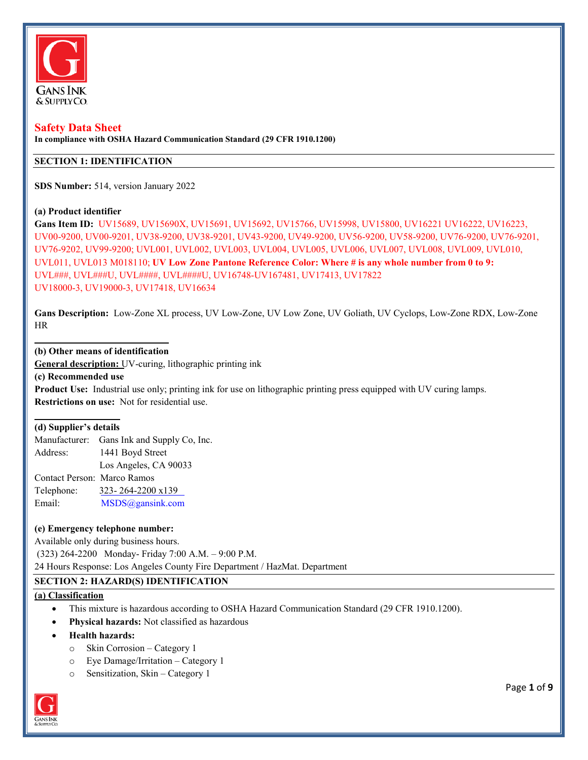

#### **Safety Data Sheet**

**In compliance with OSHA Hazard Communication Standard (29 CFR 1910.1200)** 

### **SECTION 1: IDENTIFICATION**

**SDS Number:** 514, version January 2022

#### **(a) Product identifier**

**Gans Item ID:** UV15689, UV15690X, UV15691, UV15692, UV15766, UV15998, UV15800, UV16221 UV16222, UV16223, UV00-9200, UV00-9201, UV38-9200, UV38-9201, UV43-9200, UV49-9200, UV56-9200, UV58-9200, UV76-9200, UV76-9201, UV76-9202, UV99-9200; UVL001, UVL002, UVL003, UVL004, UVL005, UVL006, UVL007, UVL008, UVL009, UVL010, UVL011, UVL013 M018110; **UV Low Zone Pantone Reference Color: Where # is any whole number from 0 to 9:**  UVL###, UVL###U, UVL####, UVL####U, UV16748-UV167481, UV17413, UV17822 UV18000-3, UV19000-3, UV17418, UV16634

**Gans Description:** Low-Zone XL process, UV Low-Zone, UV Low Zone, UV Goliath, UV Cyclops, Low-Zone RDX, Low-Zone HR

#### **(b) Other means of identification**

**General description:** UV-curing, lithographic printing ink

**(c) Recommended use** 

**Product Use:** Industrial use only; printing ink for use on lithographic printing press equipped with UV curing lamps. **Restrictions on use:** Not for residential use.

#### **(d) Supplier's details**

Manufacturer: Gans Ink and Supply Co, Inc. Address: 1441 Boyd Street Los Angeles, CA 90033 Contact Person: Marco Ramos Telephone: [323- 264-2200 x139](mailto:MSDS@gansink.com)  Email: MSDS@gansink.com

#### **(e) Emergency telephone number:**

Available only during business hours.

(323) 264-2200 Monday- Friday 7:00 A.M. – 9:00 P.M.

24 Hours Response: Los Angeles County Fire Department / HazMat. Department

#### **SECTION 2: HAZARD(S) IDENTIFICATION**

#### **(a) Classification**

- This mixture is hazardous according to OSHA Hazard Communication Standard (29 CFR 1910.1200).
- **Physical hazards:** Not classified as hazardous
- **Health hazards:**
	- o Skin Corrosion Category 1
	- o Eye Damage/Irritation Category 1
	- o Sensitization, Skin Category 1



Page **1** of **9**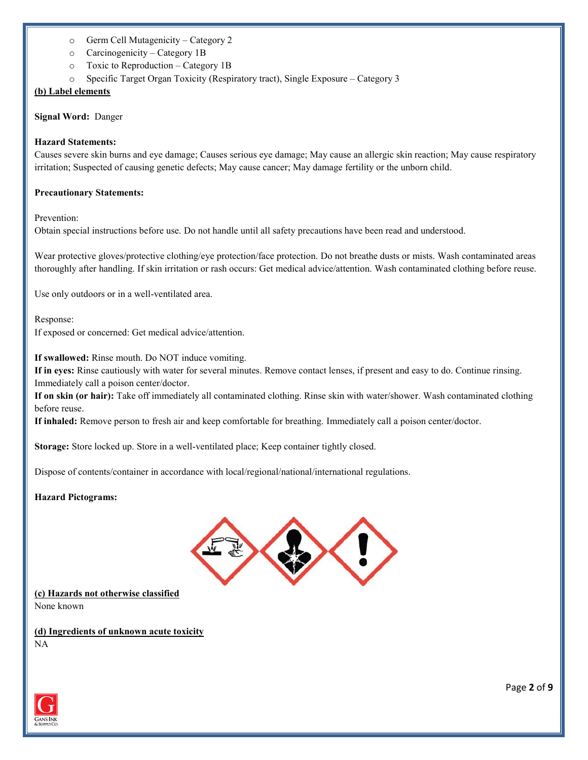- o Germ Cell Mutagenicity Category 2
- o Carcinogenicity Category 1B
- o Toxic to Reproduction Category 1B
- o Specific Target Organ Toxicity (Respiratory tract), Single Exposure Category 3

# **(b) Label elements**

**Signal Word:** Danger

### **Hazard Statements:**

Causes severe skin burns and eye damage; Causes serious eye damage; May cause an allergic skin reaction; May cause respiratory irritation; Suspected of causing genetic defects; May cause cancer; May damage fertility or the unborn child.

### **Precautionary Statements:**

Prevention:

Obtain special instructions before use. Do not handle until all safety precautions have been read and understood.

Wear protective gloves/protective clothing/eye protection/face protection. Do not breathe dusts or mists. Wash contaminated areas thoroughly after handling. If skin irritation or rash occurs: Get medical advice/attention. Wash contaminated clothing before reuse.

Use only outdoors or in a well-ventilated area.

Response:

If exposed or concerned: Get medical advice/attention.

**If swallowed:** Rinse mouth. Do NOT induce vomiting.

**If in eyes:** Rinse cautiously with water for several minutes. Remove contact lenses, if present and easy to do. Continue rinsing. Immediately call a poison center/doctor.

**If on skin (or hair):** Take off immediately all contaminated clothing. Rinse skin with water/shower. Wash contaminated clothing before reuse.

**If inhaled:** Remove person to fresh air and keep comfortable for breathing. Immediately call a poison center/doctor.

**Storage:** Store locked up. Store in a well-ventilated place; Keep container tightly closed.

Dispose of contents/container in accordance with local/regional/national/international regulations.

### **Hazard Pictograms:**



**(c) Hazards not otherwise classified** None known

**(d) Ingredients of unknown acute toxicity** NA

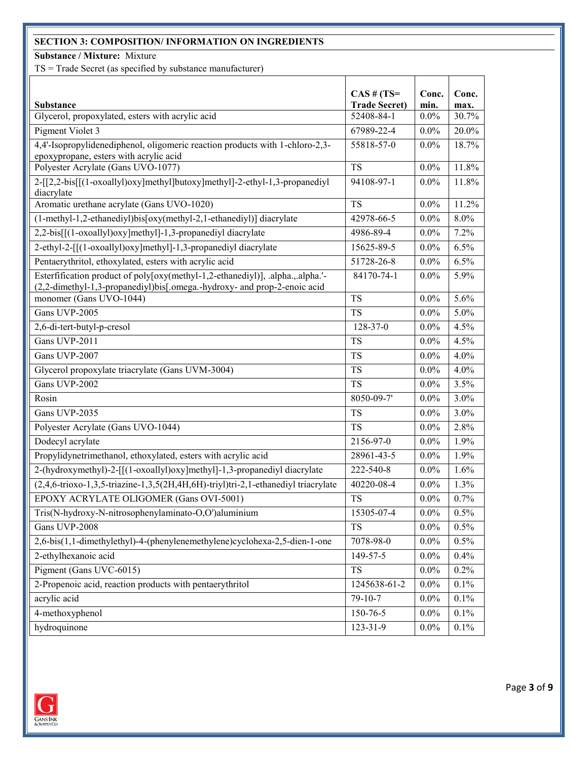# **SECTION 3: COMPOSITION/ INFORMATION ON INGREDIENTS**

**Substance / Mixture:** Mixture

TS = Trade Secret (as specified by substance manufacturer)

|                                                                                                                                                            | $CAS$ # $(TS=$       | Conc.   | Conc. |
|------------------------------------------------------------------------------------------------------------------------------------------------------------|----------------------|---------|-------|
| <b>Substance</b>                                                                                                                                           | <b>Trade Secret)</b> | min.    | max.  |
| Glycerol, propoxylated, esters with acrylic acid                                                                                                           | 52408-84-1           | $0.0\%$ | 30.7% |
| Pigment Violet 3                                                                                                                                           | 67989-22-4           | $0.0\%$ | 20.0% |
| 4,4'-Isopropylidenediphenol, oligomeric reaction products with 1-chloro-2,3-<br>epoxypropane, esters with acrylic acid                                     | 55818-57-0           | $0.0\%$ | 18.7% |
| Polyester Acrylate (Gans UVO-1077)                                                                                                                         | <b>TS</b>            | $0.0\%$ | 11.8% |
| 2-[[2,2-bis[[(1-oxoallyl)oxy]methyl]butoxy]methyl]-2-ethyl-1,3-propanediyl<br>diacrylate                                                                   | 94108-97-1           | $0.0\%$ | 11.8% |
| Aromatic urethane acrylate (Gans UVO-1020)                                                                                                                 | <b>TS</b>            | $0.0\%$ | 11.2% |
| (1-methyl-1,2-ethanediyl)bis[oxy(methyl-2,1-ethanediyl)] diacrylate                                                                                        | 42978-66-5           | $0.0\%$ | 8.0%  |
| 2,2-bis[[(1-oxoallyl)oxy]methyl]-1,3-propanediyl diacrylate                                                                                                | 4986-89-4            | $0.0\%$ | 7.2%  |
| 2-ethyl-2-[[(1-oxoallyl)oxy]methyl]-1,3-propanediyl diacrylate                                                                                             | 15625-89-5           | $0.0\%$ | 6.5%  |
| Pentaerythritol, ethoxylated, esters with acrylic acid                                                                                                     | 51728-26-8           | $0.0\%$ | 6.5%  |
| Esterfification product of poly[oxy(methyl-1,2-ethanediyl)], .alpha.,.alpha.'-<br>(2,2-dimethyl-1,3-propanediyl)bis[.omega.-hydroxy- and prop-2-enoic acid | 84170-74-1           | $0.0\%$ | 5.9%  |
| monomer (Gans UVO-1044)                                                                                                                                    | <b>TS</b>            | $0.0\%$ | 5.6%  |
| Gans UVP-2005                                                                                                                                              | <b>TS</b>            | $0.0\%$ | 5.0%  |
| 2,6-di-tert-butyl-p-cresol                                                                                                                                 | 128-37-0             | 0.0%    | 4.5%  |
| Gans UVP-2011                                                                                                                                              | <b>TS</b>            | 0.0%    | 4.5%  |
| Gans UVP-2007                                                                                                                                              | <b>TS</b>            | $0.0\%$ | 4.0%  |
| Glycerol propoxylate triacrylate (Gans UVM-3004)                                                                                                           | <b>TS</b>            | $0.0\%$ | 4.0%  |
| Gans UVP-2002                                                                                                                                              | <b>TS</b>            | $0.0\%$ | 3.5%  |
| Rosin                                                                                                                                                      | 8050-09-7'           | $0.0\%$ | 3.0%  |
| Gans UVP-2035                                                                                                                                              | <b>TS</b>            | $0.0\%$ | 3.0%  |
| Polyester Acrylate (Gans UVO-1044)                                                                                                                         | <b>TS</b>            | $0.0\%$ | 2.8%  |
| Dodecyl acrylate                                                                                                                                           | 2156-97-0            | $0.0\%$ | 1.9%  |
| Propylidynetrimethanol, ethoxylated, esters with acrylic acid                                                                                              | 28961-43-5           | $0.0\%$ | 1.9%  |
| 2-(hydroxymethyl)-2-[[(1-oxoallyl)oxy]methyl]-1,3-propanediyl diacrylate                                                                                   | 222-540-8            | $0.0\%$ | 1.6%  |
| (2,4,6-trioxo-1,3,5-triazine-1,3,5(2H,4H,6H)-triyl)tri-2,1-ethanediyl triacrylate                                                                          | 40220-08-4           | $0.0\%$ | 1.3%  |
| EPOXY ACRYLATE OLIGOMER (Gans OVI-5001)                                                                                                                    | <b>TS</b>            | $0.0\%$ | 0.7%  |
| Tris(N-hydroxy-N-nitrosophenylaminato-O,O')aluminium                                                                                                       | 15305-07-4           | $0.0\%$ | 0.5%  |
| Gans UVP-2008                                                                                                                                              | <b>TS</b>            | $0.0\%$ | 0.5%  |
| 2,6-bis(1,1-dimethylethyl)-4-(phenylenemethylene)cyclohexa-2,5-dien-1-one                                                                                  | 7078-98-0            | $0.0\%$ | 0.5%  |
| 2-ethylhexanoic acid                                                                                                                                       | 149-57-5             | $0.0\%$ | 0.4%  |
| Pigment (Gans UVC-6015)                                                                                                                                    | TS                   | $0.0\%$ | 0.2%  |
| 2-Propenoic acid, reaction products with pentaerythritol                                                                                                   | 1245638-61-2         | $0.0\%$ | 0.1%  |
| acrylic acid                                                                                                                                               | 79-10-7              | $0.0\%$ | 0.1%  |
| 4-methoxyphenol                                                                                                                                            | 150-76-5             | $0.0\%$ | 0.1%  |
| hydroquinone                                                                                                                                               | $123 - 31 - 9$       | $0.0\%$ | 0.1%  |



Page **3** of **9**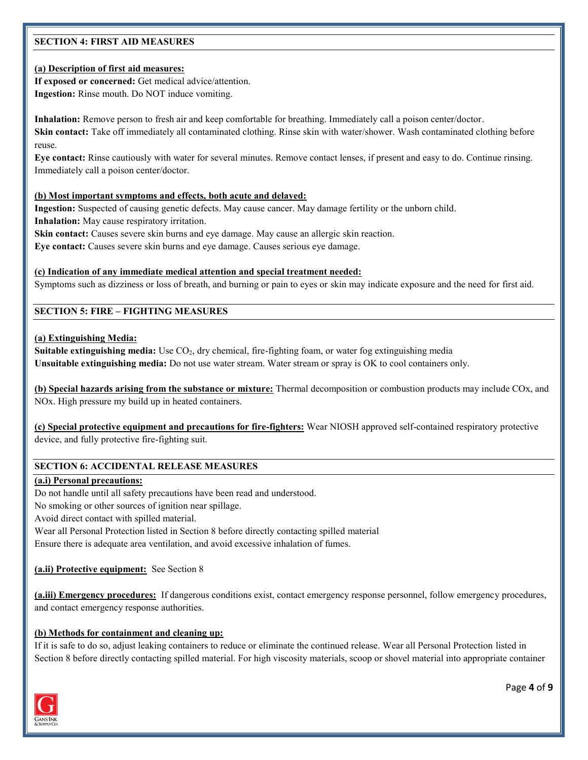# **SECTION 4: FIRST AID MEASURES**

# **(a) Description of first aid measures:**

**If exposed or concerned:** Get medical advice/attention. **Ingestion:** Rinse mouth. Do NOT induce vomiting.

**Inhalation:** Remove person to fresh air and keep comfortable for breathing. Immediately call a poison center/doctor.

**Skin contact:** Take off immediately all contaminated clothing. Rinse skin with water/shower. Wash contaminated clothing before reuse.

**Eye contact:** Rinse cautiously with water for several minutes. Remove contact lenses, if present and easy to do. Continue rinsing. Immediately call a poison center/doctor.

### **(b) Most important symptoms and effects, both acute and delayed:**

**Ingestion:** Suspected of causing genetic defects. May cause cancer. May damage fertility or the unborn child. **Inhalation:** May cause respiratory irritation.

Skin contact: Causes severe skin burns and eye damage. May cause an allergic skin reaction.

**Eye contact:** Causes severe skin burns and eye damage. Causes serious eye damage.

### **(c) Indication of any immediate medical attention and special treatment needed:**

Symptoms such as dizziness or loss of breath, and burning or pain to eyes or skin may indicate exposure and the need for first aid.

### **SECTION 5: FIRE – FIGHTING MEASURES**

### **(a) Extinguishing Media:**

**Suitable extinguishing media:** Use CO<sub>2</sub>, dry chemical, fire-fighting foam, or water fog extinguishing media **Unsuitable extinguishing media:** Do not use water stream. Water stream or spray is OK to cool containers only.

**(b) Special hazards arising from the substance or mixture:** Thermal decomposition or combustion products may include COx, and NOx. High pressure my build up in heated containers.

**(c) Special protective equipment and precautions for fire-fighters:** Wear NIOSH approved self-contained respiratory protective device, and fully protective fire-fighting suit.

### **SECTION 6: ACCIDENTAL RELEASE MEASURES**

#### **(a.i) Personal precautions:**

Do not handle until all safety precautions have been read and understood.

No smoking or other sources of ignition near spillage.

Avoid direct contact with spilled material.

Wear all Personal Protection listed in Section 8 before directly contacting spilled material

Ensure there is adequate area ventilation, and avoid excessive inhalation of fumes.

**(a.ii) Protective equipment:** See Section 8

**(a.iii) Emergency procedures:** If dangerous conditions exist, contact emergency response personnel, follow emergency procedures, and contact emergency response authorities.

#### **(b) Methods for containment and cleaning up:**

If it is safe to do so, adjust leaking containers to reduce or eliminate the continued release. Wear all Personal Protection listed in Section 8 before directly contacting spilled material. For high viscosity materials, scoop or shovel material into appropriate container



Page **4** of **9**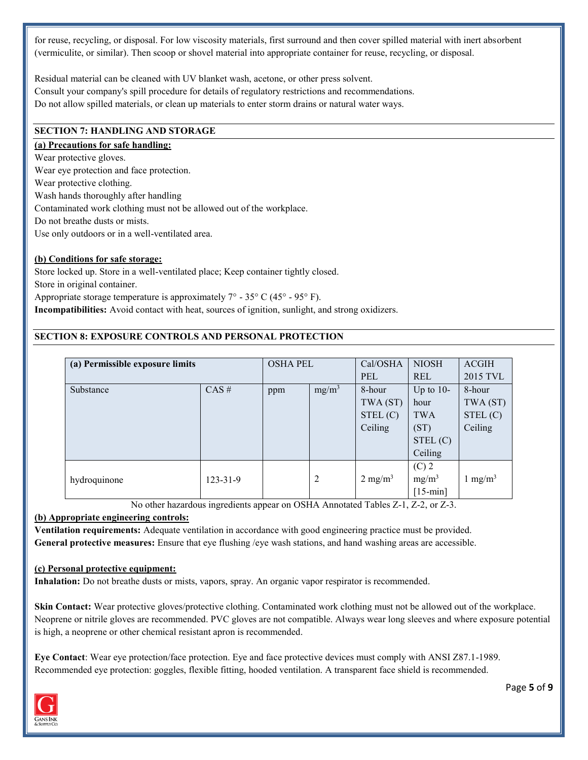for reuse, recycling, or disposal. For low viscosity materials, first surround and then cover spilled material with inert absorbent (vermiculite, or similar). Then scoop or shovel material into appropriate container for reuse, recycling, or disposal.

Residual material can be cleaned with UV blanket wash, acetone, or other press solvent. Consult your company's spill procedure for details of regulatory restrictions and recommendations. Do not allow spilled materials, or clean up materials to enter storm drains or natural water ways.

### **SECTION 7: HANDLING AND STORAGE**

# **(a) Precautions for safe handling:**

Wear protective gloves. Wear eye protection and face protection. Wear protective clothing. Wash hands thoroughly after handling Contaminated work clothing must not be allowed out of the workplace. Do not breathe dusts or mists. Use only outdoors or in a well-ventilated area.

### **(b) Conditions for safe storage:**

Store locked up. Store in a well-ventilated place; Keep container tightly closed. Store in original container. Appropriate storage temperature is approximately  $7^{\circ}$  - 35° C (45° - 95° F).

**Incompatibilities:** Avoid contact with heat, sources of ignition, sunlight, and strong oxidizers.

## **SECTION 8: EXPOSURE CONTROLS AND PERSONAL PROTECTION**

| (a) Permissible exposure limits |                | <b>OSHA PEL</b> |          | Cal/OSHA           | <b>NIOSH</b> | <b>ACGIH</b>       |
|---------------------------------|----------------|-----------------|----------|--------------------|--------------|--------------------|
|                                 |                |                 |          | <b>PEL</b>         | <b>REL</b>   | 2015 TVL           |
| Substance                       | $CAS \#$       | ppm             | $mg/m^3$ | 8-hour             | Up to $10-$  | 8-hour             |
|                                 |                |                 |          | TWA (ST)           | hour         | TWA (ST)           |
|                                 |                |                 |          | STEL(C)            | <b>TWA</b>   | STEL(C)            |
|                                 |                |                 |          | Ceiling            | (ST)         | Ceiling            |
|                                 |                |                 |          |                    | STEL(C)      |                    |
|                                 |                |                 |          |                    | Ceiling      |                    |
|                                 |                |                 |          |                    | $(C)$ 2      |                    |
| hydroquinone                    | $123 - 31 - 9$ |                 | 2        | $2 \text{ mg/m}^3$ | $mg/m^3$     | $1 \text{ mg/m}^3$ |
|                                 |                |                 |          |                    | $[15-min]$   |                    |

No other hazardous ingredients appear on OSHA Annotated Tables Z-1, Z-2, or Z-3.

### **(b) Appropriate engineering controls:**

**Ventilation requirements:** Adequate ventilation in accordance with good engineering practice must be provided. **General protective measures:** Ensure that eye flushing /eye wash stations, and hand washing areas are accessible.

#### **(c) Personal protective equipment:**

**Inhalation:** Do not breathe dusts or mists, vapors, spray. An organic vapor respirator is recommended.

**Skin Contact:** Wear protective gloves/protective clothing. Contaminated work clothing must not be allowed out of the workplace. Neoprene or nitrile gloves are recommended. PVC gloves are not compatible. Always wear long sleeves and where exposure potential is high, a neoprene or other chemical resistant apron is recommended.

**Eye Contact**: Wear eye protection/face protection. Eye and face protective devices must comply with ANSI Z87.1-1989. Recommended eye protection: goggles, flexible fitting, hooded ventilation. A transparent face shield is recommended.

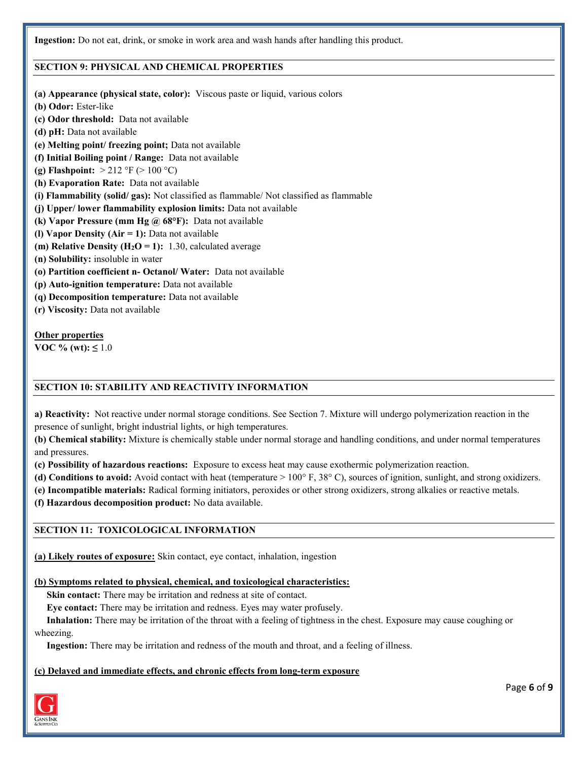**Ingestion:** Do not eat, drink, or smoke in work area and wash hands after handling this product.

### **SECTION 9: PHYSICAL AND CHEMICAL PROPERTIES**

- **(a) Appearance (physical state, color):** Viscous paste or liquid, various colors
- **(b) Odor:** Ester-like
- **(c) Odor threshold:** Data not available
- **(d) pH:** Data not available
- **(e) Melting point/ freezing point;** Data not available
- **(f) Initial Boiling point / Range:** Data not available
- **(g) Flashpoint:** > 212 °F (> 100 °C)
- **(h) Evaporation Rate:** Data not available
- **(i) Flammability (solid/ gas):** Not classified as flammable/ Not classified as flammable
- **(j) Upper/ lower flammability explosion limits:** Data not available
- **(k) Vapor Pressure (mm Hg @ 68°F):** Data not available
- **(l) Vapor Density (Air = 1):** Data not available
- **(m) Relative Density (** $H_2O = 1$ **):** 1.30, calculated average
- **(n) Solubility:** insoluble in water
- **(o) Partition coefficient n- Octanol/ Water:** Data not available
- **(p) Auto-ignition temperature:** Data not available
- **(q) Decomposition temperature:** Data not available
- **(r) Viscosity:** Data not available

### **Other properties**

**VOC** % (wt):  $\leq 1.0$ 

### **SECTION 10: STABILITY AND REACTIVITY INFORMATION**

**a) Reactivity:** Not reactive under normal storage conditions. See Section 7. Mixture will undergo polymerization reaction in the presence of sunlight, bright industrial lights, or high temperatures.

**(b) Chemical stability:** Mixture is chemically stable under normal storage and handling conditions, and under normal temperatures and pressures.

**(c) Possibility of hazardous reactions:** Exposure to excess heat may cause exothermic polymerization reaction.

**(d) Conditions to avoid:** Avoid contact with heat (temperature > 100° F, 38° C), sources of ignition, sunlight, and strong oxidizers.

**(e) Incompatible materials:** Radical forming initiators, peroxides or other strong oxidizers, strong alkalies or reactive metals.

**(f) Hazardous decomposition product:** No data available.

### **SECTION 11: TOXICOLOGICAL INFORMATION**

**(a) Likely routes of exposure:** Skin contact, eye contact, inhalation, ingestion

#### **(b) Symptoms related to physical, chemical, and toxicological characteristics:**

 **Skin contact:** There may be irritation and redness at site of contact.

 **Eye contact:** There may be irritation and redness. Eyes may water profusely.

 **Inhalation:** There may be irritation of the throat with a feeling of tightness in the chest. Exposure may cause coughing or wheezing.

 **Ingestion:** There may be irritation and redness of the mouth and throat, and a feeling of illness.

#### **(c) Delayed and immediate effects, and chronic effects from long-term exposure**



Page **6** of **9**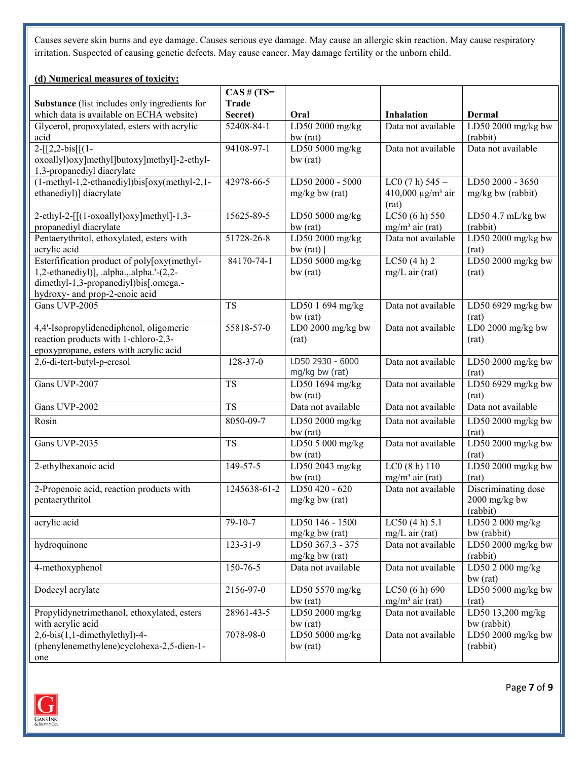Causes severe skin burns and eye damage. Causes serious eye damage. May cause an allergic skin reaction. May cause respiratory irritation. Suspected of causing genetic defects. May cause cancer. May damage fertility or the unborn child.

# **(d) Numerical measures of toxicity:**

|                                                      | $CAS$ # (TS= |                                      |                                          |                                   |
|------------------------------------------------------|--------------|--------------------------------------|------------------------------------------|-----------------------------------|
| <b>Substance</b> (list includes only ingredients for | <b>Trade</b> |                                      |                                          |                                   |
| which data is available on ECHA website)             | Secret)      | Oral                                 | <b>Inhalation</b>                        | Dermal                            |
| Glycerol, propoxylated, esters with acrylic<br>acid  | 52408-84-1   | LD50 2000 mg/kg<br>bw (rat)          | Data not available                       | LD50 2000 mg/kg bw<br>(rabbit)    |
| $2-[[2,2-bis][(1-$                                   | 94108-97-1   | LD50 5000 mg/kg                      | Data not available                       | Data not available                |
| oxoallyl)oxy]methyl]butoxy]methyl]-2-ethyl-          |              | bw (rat)                             |                                          |                                   |
| 1,3-propanediyl diacrylate                           |              |                                      |                                          |                                   |
| (1-methyl-1,2-ethanediyl)bis[oxy(methyl-2,1-         | 42978-66-5   | LD50 2000 - 5000                     | $LC0(7 h) 545 -$                         | LD50 2000 - 3650                  |
| ethanediyl)] diacrylate                              |              | $mg/kg$ bw (rat)                     | 410,000 $\mu$ g/m <sup>3</sup> air       | mg/kg bw (rabbit)                 |
|                                                      |              |                                      | (rat)                                    |                                   |
| 2-ethyl-2-[[(1-oxoallyl)oxy]methyl]-1,3-             | 15625-89-5   | LD50 5000 mg/kg                      | LC50 (6 h) 550                           | LD50 4.7 mL/kg bw                 |
| propanediyl diacrylate                               |              | bw (rat)                             | $mg/m^3$ air (rat)                       | (rabbit)                          |
| Pentaerythritol, ethoxylated, esters with            | 51728-26-8   | LD50 2000 mg/kg                      | Data not available                       | $LD\overline{50\,2000\,mg/kg}$ bw |
| acrylic acid                                         |              | bw (rat)                             |                                          | (rat)                             |
| Esterfification product of poly[oxy(methyl-          | 84170-74-1   | LD50 5000 mg/kg                      | LC50(4 h) 2                              | LD50 2000 mg/kg bw                |
| 1,2-ethanediyl)], .alpha.,.alpha.'-(2,2-             |              | bw (rat)                             | $mg/L$ air (rat)                         | (rat)                             |
| dimethyl-1,3-propanediyl)bis[.omega.-                |              |                                      |                                          |                                   |
| hydroxy- and prop-2-enoic acid                       |              |                                      |                                          |                                   |
| Gans UVP-2005                                        | <b>TS</b>    | LD50 1 694 mg/kg<br>$bw$ (rat)       | Data not available                       | LD50 6929 mg/kg bw<br>(rat)       |
| 4,4'-Isopropylidenediphenol, oligomeric              | 55818-57-0   | LD0 2000 mg/kg bw                    | Data not available                       | LD0 2000 mg/kg bw                 |
| reaction products with 1-chloro-2,3-                 |              | (rat)                                |                                          | (rat)                             |
| epoxypropane, esters with acrylic acid               |              |                                      |                                          |                                   |
| 2,6-di-tert-butyl-p-cresol                           | 128-37-0     | LD50 2930 - 6000                     | Data not available                       | LD50 2000 mg/kg bw                |
|                                                      |              | mg/kg bw (rat)                       |                                          | (rat)                             |
| Gans UVP-2007                                        | <b>TS</b>    | LD50 1694 mg/kg                      | Data not available                       | LD50 6929 mg/kg bw                |
|                                                      |              | bw (rat)                             |                                          | (rat)                             |
| Gans UVP-2002                                        | <b>TS</b>    | Data not available                   | Data not available                       | Data not available                |
| Rosin                                                | 8050-09-7    | LD50 2000 mg/kg                      | Data not available                       | LD50 2000 mg/kg bw                |
|                                                      |              | bw (rat)                             |                                          | (rat)                             |
| Gans UVP-2035                                        | <b>TS</b>    | LD50 5 000 mg/kg                     | Data not available                       | LD50 2000 mg/kg bw                |
|                                                      |              | bw (rat)                             |                                          | (rat)                             |
| 2-ethylhexanoic acid                                 | 149-57-5     | LD50 2043 mg/kg                      | LC0(8 h) 110                             | LD50 2000 mg/kg bw                |
| 2-Propenoic acid, reaction products with             |              | $bw$ (rat)<br>LD50 420 - 620         | $mg/m^3$ air (rat)<br>Data not available | (rat)                             |
|                                                      | 1245638-61-2 |                                      |                                          | Discriminating dose               |
| pentaerythritol                                      |              | $mg/kg$ bw (rat)                     |                                          | 2000 mg/kg bw<br>(rabbit)         |
| acrylic acid                                         | 79-10-7      | LD50 146 - 1500                      | LC50(4 h) 5.1                            | LD50 $2000$ mg/kg                 |
|                                                      |              | $mg/kg$ bw (rat)                     | $mg/L$ air (rat)                         | bw (rabbit)                       |
| hydroquinone                                         | 123-31-9     | LD50 367.3 - 375                     | Data not available                       | LD50 2000 mg/kg bw                |
|                                                      |              | mg/kg bw (rat)                       |                                          | (rabbit)                          |
| 4-methoxyphenol                                      | 150-76-5     | Data not available                   | Data not available                       | LD50 2 000 mg/kg                  |
|                                                      |              |                                      |                                          | bw (rat)                          |
| Dodecyl acrylate                                     | 2156-97-0    | LD50 5570 mg/kg                      | LC50 (6 h) 690                           | LD50 5000 mg/kg bw                |
|                                                      |              | bw (rat)                             | $mg/m3$ air (rat)                        | (rat)                             |
| Propylidynetrimethanol, ethoxylated, esters          | 28961-43-5   | LD50 2000 mg/ $\overline{\text{kg}}$ | Data not available                       | LD50 13,200 mg/kg                 |
| with acrylic acid                                    |              | bw(rat)                              |                                          | bw (rabbit)                       |
| 2,6-bis(1,1-dimethylethyl)-4-                        | 7078-98-0    | LD50 5000 mg/kg                      | Data not available                       | LD50 2000 mg/kg bw                |
| (phenylenemethylene)cyclohexa-2,5-dien-1-            |              | $bw$ (rat)                           |                                          | (rabbit)                          |
| one                                                  |              |                                      |                                          |                                   |



Page **7** of **9**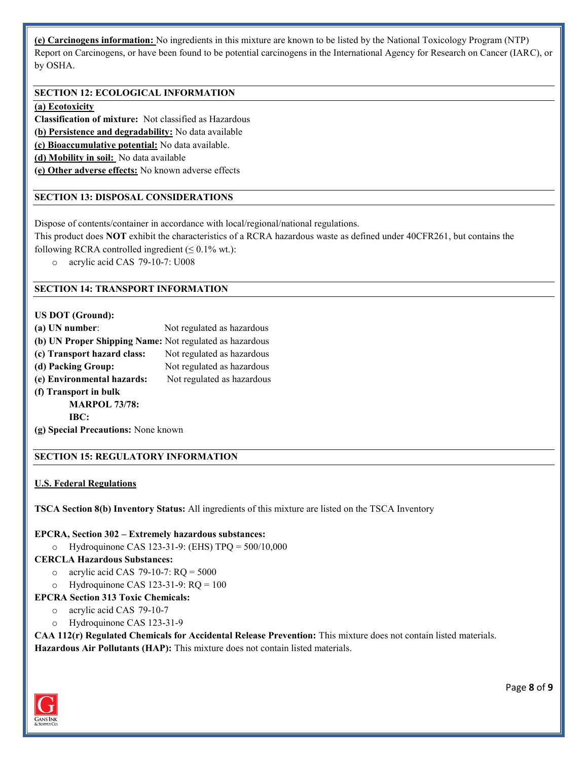**(e) Carcinogens information:** No ingredients in this mixture are known to be listed by the National Toxicology Program (NTP) Report on Carcinogens, or have been found to be potential carcinogens in the International Agency for Research on Cancer (IARC), or by OSHA.

# **SECTION 12: ECOLOGICAL INFORMATION**

### **(a) Ecotoxicity**

**Classification of mixture:** Not classified as Hazardous

**(b) Persistence and degradability:** No data available

**(c) Bioaccumulative potential:** No data available.

**(d) Mobility in soil:** No data available

**(e) Other adverse effects:** No known adverse effects

### **SECTION 13: DISPOSAL CONSIDERATIONS**

Dispose of contents/container in accordance with local/regional/national regulations.

This product does **NOT** exhibit the characteristics of a RCRA hazardous waste as defined under 40CFR261, but contains the

following RCRA controlled ingredient  $(\leq 0.1\%$  wt.):

o acrylic acid CAS 79-10-7: U008

#### **SECTION 14: TRANSPORT INFORMATION**

### **US DOT (Ground):**

| $(a)$ UN number:                                        | Not regulated as hazardous |
|---------------------------------------------------------|----------------------------|
| (b) UN Proper Shipping Name: Not regulated as hazardous |                            |
| (c) Transport hazard class:                             | Not regulated as hazardous |
| (d) Packing Group:                                      | Not regulated as hazardous |
| (e) Environmental hazards:                              | Not regulated as hazardous |
| (f) Transport in bulk                                   |                            |
| <b>MARPOL 73/78:</b>                                    |                            |
| IBC:                                                    |                            |
| (g) Special Precautions: None known                     |                            |

### **SECTION 15: REGULATORY INFORMATION**

#### **U.S. Federal Regulations**

**TSCA Section 8(b) Inventory Status:** All ingredients of this mixture are listed on the TSCA Inventory

#### **EPCRA, Section 302 – Extremely hazardous substances:**

o Hydroquinone CAS 123-31-9: (EHS) TPQ = 500/10,000

### **CERCLA Hazardous Substances:**

- o acrylic acid CAS 79-10-7:  $RO = 5000$
- $\circ$  Hydroquinone CAS 123-31-9: RQ = 100

#### **EPCRA Section 313 Toxic Chemicals:**

- o acrylic acid CAS 79-10-7
- o Hydroquinone CAS 123-31-9

**CAA 112(r) Regulated Chemicals for Accidental Release Prevention:** This mixture does not contain listed materials. **Hazardous Air Pollutants (HAP):** This mixture does not contain listed materials.